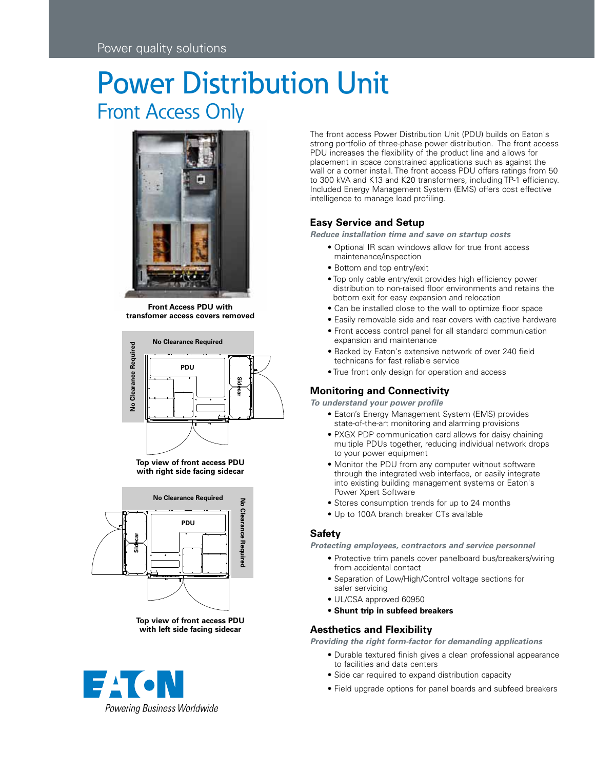# Power Distribution Unit Front Access Only



**Front Access PDU with transfomer access covers removed**











The front access Power Distribution Unit (PDU) builds on Eaton's strong portfolio of three-phase power distribution. The front access PDU increases the flexibility of the product line and allows for placement in space constrained applications such as against the wall or a corner install. The front access PDU offers ratings from 50 to 300 kVA and K13 and K20 transformers, including TP-1 efficiency. Included Energy Management System (EMS) offers cost effective intelligence to manage load profiling.

# **Easy Service and Setup**

*Reduce installation time and save on startup costs*

- Optional IR scan windows allow for true front access maintenance/inspection
- Bottom and top entry/exit
- Top only cable entry/exit provides high efficiency power distribution to non-raised floor environments and retains the bottom exit for easy expansion and relocation
- Can be installed close to the wall to optimize floor space
- Easily removable side and rear covers with captive hardware
- Front access control panel for all standard communication expansion and maintenance
- Backed by Eaton's extensive network of over 240 field technicans for fast reliable service
- True front only design for operation and access

## **Monitoring and Connectivity**

*To understand your power profile*

- Eaton's Energy Management System (EMS) provides state-of-the-art monitoring and alarming provisions
- PXGX PDP communication card allows for daisy chaining multiple PDUs together, reducing individual network drops to your power equipment
- Monitor the PDU from any computer without software through the integrated web interface, or easily integrate into existing building management systems or Eaton's Power Xpert Software
- Stores consumption trends for up to 24 months
- Up to 100A branch breaker CTs available

## **Safety**

*Protecting employees, contractors and service personnel* 

- Protective trim panels cover panelboard bus/breakers/wiring from accidental contact
- Separation of Low/High/Control voltage sections for safer servicing
- UL/CSA approved 60950
- **Shunt trip in subfeed breakers**

## **Aesthetics and Flexibility**

*Providing the right form-factor for demanding applications*

- Durable textured finish gives a clean professional appearance to facilities and data centers
- Side car required to expand distribution capacity
- Field upgrade options for panel boards and subfeed breakers